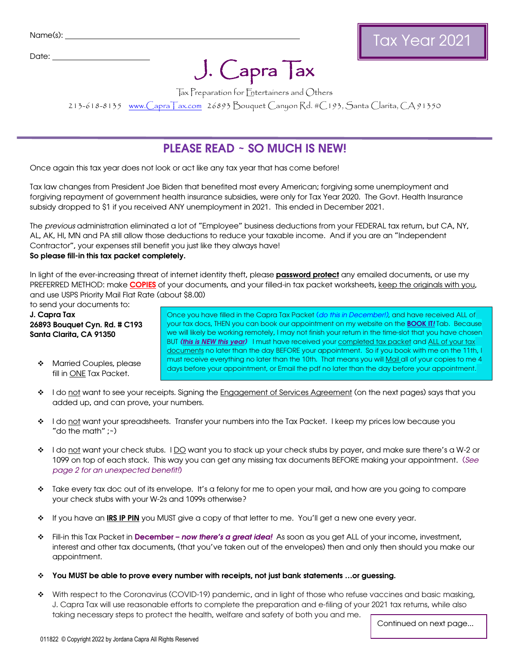Date:

# $J.$  Capra  $\mathsf{T}$ ax Tax Tax Preparation for Entertainers and Others

213-618-8135 [www.CapraTax.com](http://www.capratax.com/) 26893 Bouquet Canyon Rd. #C193, Santa Clarita, CA 91350

## PLEASE READ ~ SO MUCH IS NEW!

Once again this tax year does not look or act like [any tax year that has come befo](mailto:Jordana@CapraTax.com)re!

Tax law changes from President Joe Biden that benefited most every American; forgiving some unemployment and forgiving repayment of government health insurance subsidies, were only for Tax Year 2020. The Govt. Health Insurance subsidy dropped to \$1 if you received ANY unemployment in 2021. This ended in December 2021.

The previous administration eliminated a lot of "Employee" business deductions from your FEDERAL tax return, but CA, NY, AL, AK, HI, MN and PA still allow those deductions to reduce your taxable income. And if you are an "Independent Contractor", your expenses still benefit you just like they always have! So please fill-in this tax packet completely.

In light of the ever-increasing threat of internet identity theft, please **password protect** any emailed documents, or use my PREFERRED METHOD: make **COPIES** of your documents, and your filled-in tax packet worksheets, keep the originals with you, and use USPS Priority Mail Flat Rate (about \$8.00)

to send your documents to:

J. Capra Tax 26893 Bouquet Cyn. Rd. # C193 Santa Clarita, CA 91350

**\*** Married Couples, please fill in ONE Tax Packet.

Once you have filled in the Capra Tax Packet (do this in December!), and have received ALL of your tax docs, THEN you can book our appointment on my website on the **[BOOK IT](https://www.capratax.com/book-it)!** Tab. Because we will likely be working remotely, I may not finish your return in the time-slot that you have chosen BUT (this is NEW this year) I must have received your completed tax packet and ALL of your tax documents no later than the day BEFORE your appointment. So if you book with me on the 11th, I must receive everything no later than the 10th. That means you will Mail all of your copies to me 4 days before your appointment, or Email the pdf no later than the day before your appointment.

- <sup>2</sup> I do not want to see your receipts. Signing the Engagement of Services Agreement (on the next pages) says that you added up, and can prove, your numbers.
- \* I do not want your spreadsheets. Transfer your numbers into the Tax Packet. I keep my prices low because you "do the math"  $:-)$
- ↓ I do not want your check stubs. I DQ want you to stack up your check stubs by payer, and make sure there's a W-2 or 1099 on top of each stack. This way you can get any missing tax documents BEFORE making your appointment. (See page 2 for an unexpected benefit!)
- \* Take every tax doc out of its envelope. It's a felony for me to open your mail, and how are you going to compare your check stubs with your W-2s and 1099s otherwise?
- \* If you have an IRS IP PIN you MUST give a copy of that letter to me. You'll get a new one every year.
- **↑** Fill-in this Tax Packet in December now there's a great idea! As soon as you get ALL of your income, investment, interest and other tax documents, (that you've taken out of the envelopes) then and only then should you make our appointment.
- You MUST be able to prove every number with receipts, not just bank statements …or guessing.
- With respect to the Coronavirus (COVID-19) pandemic, and in light of those who refuse vaccines and basic masking, J. Capra Tax will use reasonable efforts to complete the preparation and e-filing of your 2021 tax returns, while also taking necessary steps to protect the health, welfare and safety of both you and me.

Continued on next page...

Tax Year 2021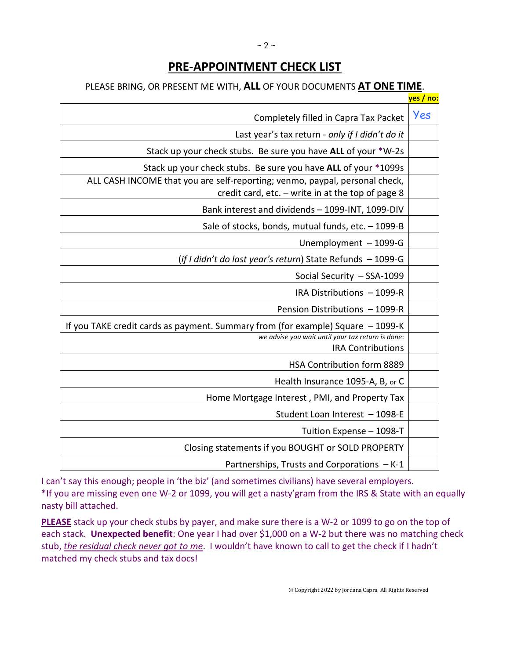# **PRE-APPOINTMENT CHECK LIST**

## PLEASE BRING, OR PRESENT ME WITH, **ALL** OF YOUR DOCUMENTS **AT ONE TIME**.

|                                                                                                                                  | <mark>yes / no:</mark> |
|----------------------------------------------------------------------------------------------------------------------------------|------------------------|
| Completely filled in Capra Tax Packet                                                                                            | Yes                    |
| Last year's tax return - only if I didn't do it                                                                                  |                        |
| Stack up your check stubs. Be sure you have ALL of your *W-2s                                                                    |                        |
| Stack up your check stubs. Be sure you have ALL of your *1099s                                                                   |                        |
| ALL CASH INCOME that you are self-reporting; venmo, paypal, personal check,<br>credit card, etc. - write in at the top of page 8 |                        |
| Bank interest and dividends - 1099-INT, 1099-DIV                                                                                 |                        |
| Sale of stocks, bonds, mutual funds, etc. $-1099 - B$                                                                            |                        |
| Unemployment - 1099-G                                                                                                            |                        |
| (if I didn't do last year's return) State Refunds - 1099-G                                                                       |                        |
| Social Security - SSA-1099                                                                                                       |                        |
| IRA Distributions - 1099-R                                                                                                       |                        |
| Pension Distributions - 1099-R                                                                                                   |                        |
| If you TAKE credit cards as payment. Summary from (for example) Square - 1099-K                                                  |                        |
| we advise you wait until your tax return is done:<br><b>IRA Contributions</b>                                                    |                        |
| HSA Contribution form 8889                                                                                                       |                        |
| Health Insurance 1095-A, B, or C                                                                                                 |                        |
| Home Mortgage Interest, PMI, and Property Tax                                                                                    |                        |
| Student Loan Interest - 1098-E                                                                                                   |                        |
| Tuition Expense - 1098-T                                                                                                         |                        |
| Closing statements if you BOUGHT or SOLD PROPERTY                                                                                |                        |
| Partnerships, Trusts and Corporations - K-1                                                                                      |                        |

I can't say this enough; people in 'the biz' (and sometimes civilians) have several employers. \*If you are missing even one W-2 or 1099, you will get a nasty'gram from the IRS & State with an equally nasty bill attached.

**PLEASE** stack up your check stubs by payer, and make sure there is a W-2 or 1099 to go on the top of each stack. Unexpected benefit: One year I had over \$1,000 on a W-2 but there was no matching check stub, *the residual check never got to me*. I wouldn't have known to call to get the check if I hadn't matched my check stubs and tax docs!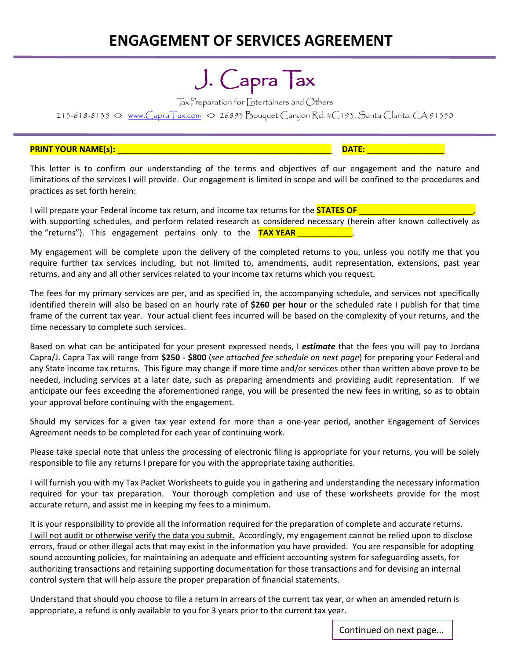# **ENGAGEMENT OF SERVICES AGREEMENT**

# $J.$  Capra Tax<br>Tax Preparation for Entertainers and Others

213-618-8135 <> [www.CapraTax.com](http://www.capratax.com/) <> 26893 Bouquet Canyon Rd. #C193, Santa Clarita, CA 91350

#### **PRINT YOUR NAME(s):** \_\_\_\_\_\_\_\_\_\_\_\_\_\_\_\_\_\_\_\_\_\_\_\_\_\_\_\_\_\_\_\_\_\_\_\_\_\_\_\_\_\_\_\_\_\_\_ **DATE:** \_\_\_\_\_\_\_\_\_\_\_\_\_\_\_\_\_

This letter is to confirm our understanding of the terms and objectives of our engagement and the nature and limitations of the services I will provide. Our engagement is limited in scope and will be confined to the procedures and practices as set forth herein:

I will prepare your Federal income tax return, and income tax returns for the **STATES OF** with supporting schedules, and perform related research as considered necessary (herein after known collectively as the "returns"). This engagement pertains only to the **TAX YEAR** and the state of the state of the state of the state of the state of the state of the state of the state of the state of the state of the state of the state o

My engagement will be complete upon the delivery of the completed returns to you, unless you notify me that you require further tax services including, but not limited to, amendments, audit representation, extensions, past year returns, and any and all other services related to your income tax returns which you request.

The fees for my primary services are per, and as specified in, the accompanying schedule, and services not specifically identified therein will also be based on an hourly rate of **\$260 per hour** or the scheduled rate I publish for that time frame of the current tax year. Your actual client fees incurred will be based on the complexity of your returns, and the time necessary to complete such services.

Based on what can be anticipated for your present expressed needs, I *estimate* that the fees you will pay to Jordana Capra/J. Capra Tax will range from **\$250 - \$800** (*see attached fee schedule on next page*) for preparing your Federal and any State income tax returns. This figure may change if more time and/or services other than written above prove to be needed, including services at a later date, such as preparing amendments and providing audit representation. If we anticipate our fees exceeding the aforementioned range, you will be presented the new fees in writing, so as to obtain your approval before continuing with the engagement.

Should my services for a given tax year extend for more than a one-year period, another Engagement of Services Agreement needs to be completed for each year of continuing work.

Please take special note that unless the processing of electronic filing is appropriate for your returns, you will be solely responsible to file any returns I prepare for you with the appropriate taxing authorities.

I will furnish you with my Tax Packet Worksheets to guide you in gathering and understanding the necessary information required for your tax preparation. Your thorough completion and use of these worksheets provide for the most accurate return, and assist me in keeping my fees to a minimum.

It is your responsibility to provide all the information required for the preparation of complete and accurate returns. I will not audit or otherwise verify the data you submit. Accordingly, my engagement cannot be relied upon to disclose errors, fraud or other illegal acts that may exist in the information you have provided. You are responsible for adopting sound accounting policies, for maintaining an adequate and efficient accounting system for safeguarding assets, for authorizing transactions and retaining supporting documentation for those transactions and for devising an internal control system that will help assure the proper preparation of financial statements.

Understand that should you choose to file a return in arrears of the current tax year, or when an amended return is appropriate, a refund is only available to you for 3 years prior to the current tax year.

Continued on next page...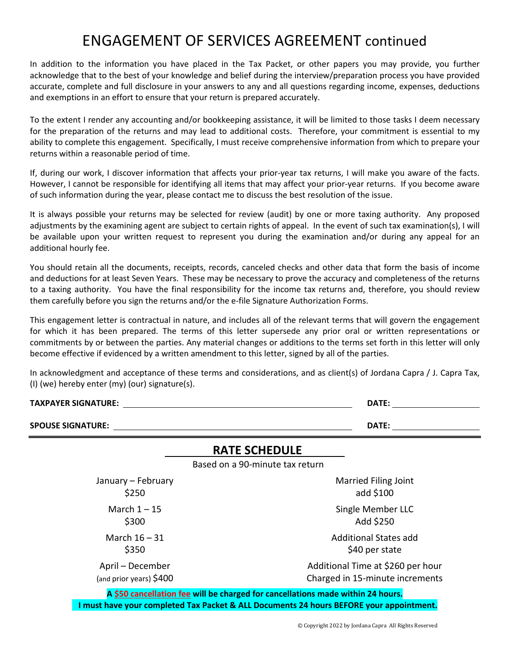# ENGAGEMENT OF SERVICES AGREEMENT continued

In addition to the information you have placed in the Tax Packet, or other papers you may provide, you further acknowledge that to the best of your knowledge and belief during the interview/preparation process you have provided accurate, complete and full disclosure in your answers to any and all questions regarding income, expenses, deductions and exemptions in an effort to ensure that your return is prepared accurately.

To the extent I render any accounting and/or bookkeeping assistance, it will be limited to those tasks I deem necessary for the preparation of the returns and may lead to additional costs. Therefore, your commitment is essential to my ability to complete this engagement. Specifically, I must receive comprehensive information from which to prepare your returns within a reasonable period of time.

If, during our work, I discover information that affects your prior-year tax returns, I will make you aware of the facts. However, I cannot be responsible for identifying all items that may affect your prior-year returns. If you become aware of such information during the year, please contact me to discuss the best resolution of the issue.

It is always possible your returns may be selected for review (audit) by one or more taxing authority. Any proposed adjustments by the examining agent are subject to certain rights of appeal. In the event of such tax examination(s), I will be available upon your written request to represent you during the examination and/or during any appeal for an additional hourly fee.

You should retain all the documents, receipts, records, canceled checks and other data that form the basis of income and deductions for at least Seven Years. These may be necessary to prove the accuracy and completeness of the returns to a taxing authority. You have the final responsibility for the income tax returns and, therefore, you should review them carefully before you sign the returns and/or the e-file Signature Authorization Forms.

This engagement letter is contractual in nature, and includes all of the relevant terms that will govern the engagement for which it has been prepared. The terms of this letter supersede any prior oral or written representations or commitments by or between the parties. Any material changes or additions to the terms set forth in this letter will only become effective if evidenced by a written amendment to this letter, signed by all of the parties.

In acknowledgment and acceptance of these terms and considerations, and as client(s) of Jordana Capra / J. Capra Tax, (I) (we) hereby enter (my) (our) signature(s).

| TAXPAYER SIGNATURE:                         | DATE:                                                                          |
|---------------------------------------------|--------------------------------------------------------------------------------|
| <b>SPOUSE SIGNATURE:</b>                    | <b>DATE:</b>                                                                   |
|                                             | <b>RATE SCHEDULE</b>                                                           |
|                                             | Based on a 90-minute tax return                                                |
| January - February<br>\$250                 | <b>Married Filing Joint</b><br>add \$100                                       |
| March $1 - 15$<br>\$300                     | Single Member LLC<br>Add \$250                                                 |
| March $16 - 31$<br>\$350                    | Additional States add<br>\$40 per state                                        |
| April – December<br>(and prior years) \$400 | Additional Time at \$260 per hour<br>Charged in 15-minute increments           |
|                                             | A CEO cancellation fee will be charged for cancellations made within 24 hours. |

**A \$50 cancellation fee will be charged for cancellations made within 24 hours. I must have your completed Tax Packet & ALL Documents 24 hours BEFORE your appointment.**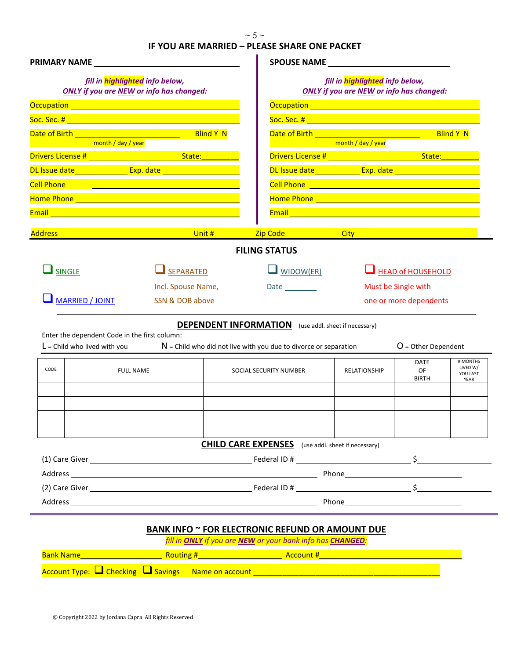#### **IF YOU ARE MARRIED – PLEASE SHARE ONE PACKET**

| fill in highlighted info below,                                                                                                                                                                                                    |
|------------------------------------------------------------------------------------------------------------------------------------------------------------------------------------------------------------------------------------|
| <b>ONLY</b> if you are NEW or info has changed:                                                                                                                                                                                    |
| Occupation <u>expression</u> and contained a series of the series of the series of the series of the series of the series                                                                                                          |
|                                                                                                                                                                                                                                    |
| <b>Blind Y N</b>                                                                                                                                                                                                                   |
| <b>Example 2018</b> The Company of the Company of the Company of the Company of the Company of the Company of the Company of the Company of the Company of the Company of the Company of the Company of the Company of the Company |
|                                                                                                                                                                                                                                    |
| DL Issue date_______________ Exp. date ___________________                                                                                                                                                                         |
|                                                                                                                                                                                                                                    |
|                                                                                                                                                                                                                                    |
|                                                                                                                                                                                                                                    |
| <u>Zip Code City City City Code City Code City Code City Code City Code City Code City Code City Code City Code C</u>                                                                                                              |
| <b>FILING STATUS</b>                                                                                                                                                                                                               |
| $\Box$ WIDOW(ER)<br>HEAD of HOUSEHOLD                                                                                                                                                                                              |
| Must be Single with<br>Date __________                                                                                                                                                                                             |
| one or more dependents                                                                                                                                                                                                             |
| <b>DEPENDENT INFORMATION</b> (use addl. sheet if necessary)                                                                                                                                                                        |
|                                                                                                                                                                                                                                    |
| $O =$ Other Dependent<br>$N$ = Child who did not live with you due to divorce or separation                                                                                                                                        |
| # MONTHS<br><b>DATE</b><br>LIVED W/<br>OF<br>SOCIAL SECURITY NUMBER<br><b>RELATIONSHIP</b><br>YOU LAST<br><b>BIRTH</b><br>YEAR                                                                                                     |
|                                                                                                                                                                                                                                    |
|                                                                                                                                                                                                                                    |
|                                                                                                                                                                                                                                    |
| <b>CHILD CARE EXPENSES</b> (use addl. sheet if necessary)                                                                                                                                                                          |
|                                                                                                                                                                                                                                    |
|                                                                                                                                                                                                                                    |
| (2) Care Giver $\zeta$                                                                                                                                                                                                             |
|                                                                                                                                                                                                                                    |
| <b>Blind Y N</b>                                                                                                                                                                                                                   |

*fill in ONLY if you are NEW or your bank info has CHANGED:* **Bank Name Routing #** Account # Account # Account # Account # Account # Account #  $\frac{1}{2}$ Account Type:  $\square$  Checking  $\square$  Savings Name on account  $\_\_$ 

j,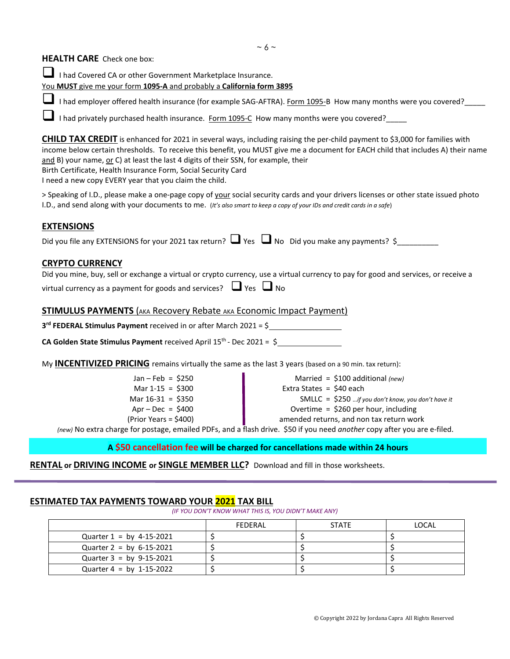#### **HEALTH CARE** Check one box:

 I had Covered CA or other Government Marketplace Insurance. You **MUST** give me your form **1095-A** and probably a **California form 3895**

I had employer offered health insurance (for example SAG-AFTRA). Form 1095-B How many months were you covered?

I had privately purchased health insurance. Form 1095-C How many months were you covered?

**CHILD TAX CREDIT** is enhanced for 2021 in several ways, including raising the per-child payment to \$3,000 for families with income below certain thresholds. To receive this benefit, you MUST give me a document for EACH child that includes A) their name and B) your name, or C) at least the last 4 digits of their SSN, for example, their Birth Certificate, Health Insurance Form, Social Security Card

I need a new copy EVERY year that you claim the child.

> Speaking of I.D., please make a one-page copy of your social security cards and your drivers licenses or other state issued photo I.D., and send along with your documents to me. (*It's also smart to keep a copy of your IDs and credit cards in a safe*)

#### **EXTENSIONS**

| Did you file any EXTENSIONS for your 2021 tax return? $\Box$ Yes $\Box$ No Did you make any payments? \$ |  |  |  |  |  |
|----------------------------------------------------------------------------------------------------------|--|--|--|--|--|
|----------------------------------------------------------------------------------------------------------|--|--|--|--|--|

#### **CRYPTO CURRENCY**

|                                                                            | Did you mine, buy, sell or exchange a virtual or crypto currency, use a virtual currency to pay for good and services, or receive a |
|----------------------------------------------------------------------------|-------------------------------------------------------------------------------------------------------------------------------------|
| virtual currency as a payment for goods and services? $\Box$ Yes $\Box$ No |                                                                                                                                     |

#### **STIMULUS PAYMENTS** (AKA Recovery Rebate AKA Economic Impact Payment)

**3rd FEDERAL Stimulus Payment** received in or after March 2021 = \$

**CA Golden State Stimulus Payment** received April  $15<sup>th</sup>$ - Dec 2021 =  $\frac{6}{5}$ 

My **INCENTIVIZED PRICING** remains virtually the same as the last 3 years (based on a 90 min. tax return):

| Jan - Feb = $$250$     |
|------------------------|
| Mar $1-15 = $300$      |
| Mar $16-31 = $350$     |
| $Apr - Dec = $400$     |
| $(Prior Years = $400)$ |

Married = \$100 additional *(new)* Extra States = \$40 each

SMLLC = \$250 …*if you don't know, you don't have it*

Overtime = \$260 per hour, including

amended returns, and non tax return work

*(new)* No extra charge for postage, emailed PDFs, and a flash drive. \$50 if you need *another* copy after you are e-filed.

#### **A \$50 cancellation fee will be charged for cancellations made within 24 hours**

**RENTAL or DRIVING INCOME or SINGLE MEMBER LLC?** Download and fill in those worksheets.

#### **ESTIMATED TAX PAYMENTS TOWARD YOUR 2021 TAX BILL**

*(IF YOU DON'T KNOW WHAT THIS IS, YOU DIDN'T MAKE ANY)*

|                            | FFDFRAI | <b>STATE</b> | LOCAL |
|----------------------------|---------|--------------|-------|
| Quarter $1 = by 4-15-2021$ |         |              |       |
| Quarter $2 = by 6-15-2021$ |         |              |       |
| Quarter $3 = by 9-15-2021$ |         |              |       |
| Quarter $4 = by 1-15-2022$ |         |              |       |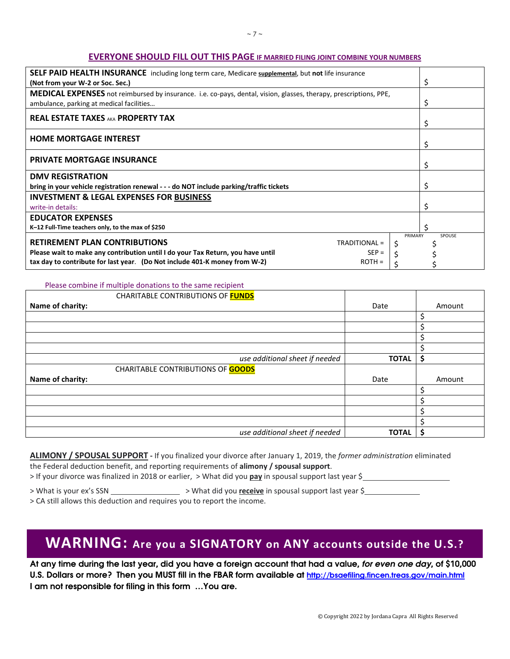#### **EVERYONE SHOULD FILL OUT THIS PAGE IF MARRIED FILING JOINT COMBINE YOUR NUMBERS**

| SELF PAID HEALTH INSURANCE including long term care, Medicare supplemental, but not life insurance<br>(Not from your W-2 or Soc. Sec.)                               |               | S      |
|----------------------------------------------------------------------------------------------------------------------------------------------------------------------|---------------|--------|
| <b>MEDICAL EXPENSES</b> not reimbursed by insurance. i.e. co-pays, dental, vision, glasses, therapy, prescriptions, PPE,<br>ambulance, parking at medical facilities |               |        |
| <b>REAL ESTATE TAXES AKA PROPERTY TAX</b>                                                                                                                            |               |        |
| <b>HOME MORTGAGE INTEREST</b>                                                                                                                                        |               | Ş      |
| <b>PRIVATE MORTGAGE INSURANCE</b>                                                                                                                                    |               |        |
| <b>DMV REGISTRATION</b>                                                                                                                                              |               |        |
| bring in your vehicle registration renewal - - - do NOT include parking/traffic tickets                                                                              |               | Ş      |
| <b>INVESTMENT &amp; LEGAL EXPENSES FOR BUSINESS</b>                                                                                                                  |               |        |
| write-in details:                                                                                                                                                    |               |        |
| <b>EDUCATOR EXPENSES</b>                                                                                                                                             |               |        |
| K-12 Full-Time teachers only, to the max of \$250                                                                                                                    |               |        |
| <b>RETIREMENT PLAN CONTRIBUTIONS</b><br>TRADITIONAL =<br>Please wait to make any contribution until I do your Tax Return, you have until<br>$SEP =$                  | PRIMARY<br>\$ | SPOUSE |
| tax day to contribute for last year. (Do Not include 401-K money from W-2)<br>$ROTH =$                                                                               |               |        |

#### Please combine if multiple donations to the same recipient

| CHARITABLE CONTRIBUTIONS OF FUNDS        |              |        |
|------------------------------------------|--------------|--------|
| Name of charity:                         | Date         | Amount |
|                                          |              | Ś.     |
|                                          |              | \$     |
|                                          |              | Ś      |
|                                          |              | Ś.     |
| use additional sheet if needed           | <b>TOTAL</b> | \$     |
| <b>CHARITABLE CONTRIBUTIONS OF GOODS</b> |              |        |
| Name of charity:                         | Date         | Amount |
|                                          |              | \$     |
|                                          |              | \$     |
|                                          |              | Ś      |
|                                          |              | Ś      |
| use additional sheet if needed           | <b>TOTAL</b> | Ś      |

**ALIMONY / SPOUSAL SUPPORT -** If you finalized your divorce after January 1, 2019, the *former administration* eliminated the Federal deduction benefit, and reporting requirements of **alimony / spousal support**.

> If your divorce was finalized in 2018 or earlier, > What did you **pay** in spousal support last year \$

> What is your ex's SSN > What did you **receive** in spousal support last year \$

> CA still allows this deduction and requires you to report the income.

# **WARNING: Are you a SIGNATORY on ANY accounts outside the U.S.?**

At any time during the last year, did you have a foreign account that had a value, for even one day, of \$10,000 U.S. Dollars or more? Then you MUST fill in the FBAR form available at http://bsaefiling.fincen.treas.gov/main.html I am not responsible for filing in this form …You are.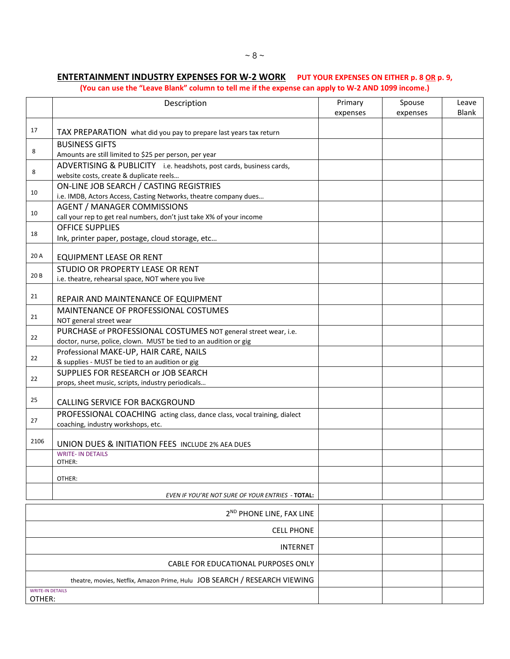## **ENTERTAINMENT INDUSTRY EXPENSES FOR W-2 WORK PUT YOUR EXPENSES ON EITHER p. 8 OR p. 9,**

**(You can use the "Leave Blank" column to tell me if the expense can apply to W-2 AND 1099 income.)**

|                         | Description                                                                                                                                       | Primary<br>expenses | Spouse<br>expenses | Leave<br><b>Blank</b> |
|-------------------------|---------------------------------------------------------------------------------------------------------------------------------------------------|---------------------|--------------------|-----------------------|
| 17                      | TAX PREPARATION what did you pay to prepare last years tax return                                                                                 |                     |                    |                       |
| 8                       | <b>BUSINESS GIFTS</b><br>Amounts are still limited to \$25 per person, per year                                                                   |                     |                    |                       |
| 8                       | ADVERTISING & PUBLICITY i.e. headshots, post cards, business cards,<br>website costs, create & duplicate reels                                    |                     |                    |                       |
| 10                      | ON-LINE JOB SEARCH / CASTING REGISTRIES                                                                                                           |                     |                    |                       |
| 10                      | i.e. IMDB, Actors Access, Casting Networks, theatre company dues<br><b>AGENT / MANAGER COMMISSIONS</b>                                            |                     |                    |                       |
| 18                      | call your rep to get real numbers, don't just take X% of your income<br><b>OFFICE SUPPLIES</b><br>Ink, printer paper, postage, cloud storage, etc |                     |                    |                       |
| 20 A                    | <b>EQUIPMENT LEASE OR RENT</b>                                                                                                                    |                     |                    |                       |
| 20B                     | STUDIO OR PROPERTY LEASE OR RENT<br>i.e. theatre, rehearsal space, NOT where you live                                                             |                     |                    |                       |
| 21                      | REPAIR AND MAINTENANCE OF EQUIPMENT                                                                                                               |                     |                    |                       |
| 21                      | MAINTENANCE OF PROFESSIONAL COSTUMES<br>NOT general street wear                                                                                   |                     |                    |                       |
| 22                      | PURCHASE of PROFESSIONAL COSTUMES NOT general street wear, i.e.<br>doctor, nurse, police, clown. MUST be tied to an audition or gig               |                     |                    |                       |
| 22                      | Professional MAKE-UP, HAIR CARE, NAILS<br>& supplies - MUST be tied to an audition or gig                                                         |                     |                    |                       |
| 22                      | SUPPLIES FOR RESEARCH or JOB SEARCH<br>props, sheet music, scripts, industry periodicals                                                          |                     |                    |                       |
| 25                      | CALLING SERVICE FOR BACKGROUND                                                                                                                    |                     |                    |                       |
| 27                      | PROFESSIONAL COACHING acting class, dance class, vocal training, dialect<br>coaching, industry workshops, etc.                                    |                     |                    |                       |
| 2106                    | UNION DUES & INITIATION FEES INCLUDE 2% AEA DUES                                                                                                  |                     |                    |                       |
|                         | <b>WRITE- IN DETAILS</b><br>OTHER:                                                                                                                |                     |                    |                       |
|                         | OTHER:                                                                                                                                            |                     |                    |                       |
|                         | EVEN IF YOU'RE NOT SURE OF YOUR ENTRIES - TOTAL:                                                                                                  |                     |                    |                       |
|                         | 2 <sup>ND</sup> PHONE LINE, FAX LINE                                                                                                              |                     |                    |                       |
|                         | <b>CELL PHONE</b>                                                                                                                                 |                     |                    |                       |
|                         | <b>INTERNET</b>                                                                                                                                   |                     |                    |                       |
|                         | CABLE FOR EDUCATIONAL PURPOSES ONLY                                                                                                               |                     |                    |                       |
| <b>WRITE-IN DETAILS</b> | theatre, movies, Netflix, Amazon Prime, Hulu JOB SEARCH / RESEARCH VIEWING                                                                        |                     |                    |                       |
| OTHER:                  |                                                                                                                                                   |                     |                    |                       |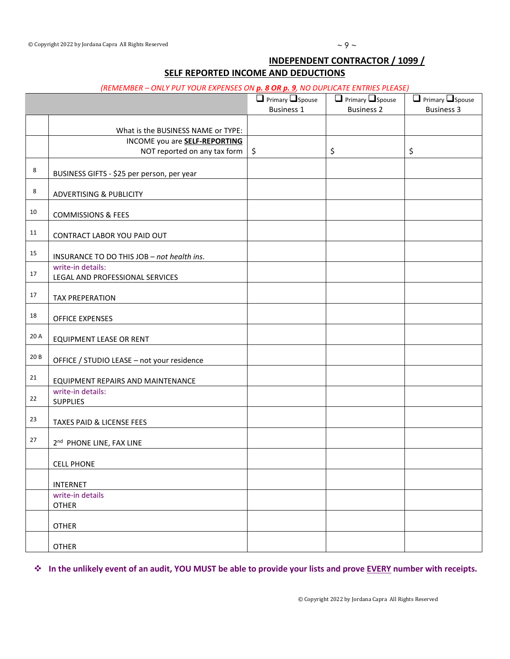#### **INDEPENDENT CONTRACTOR / 1099 /**

#### **SELF REPORTED INCOME AND DEDUCTIONS**

#### *(REMEMBER – ONLY PUT YOUR EXPENSES ON p. 8 OR p. 9, NO DUPLICATE ENTRIES PLEASE)*

|      |                                                                            | $\Box$ Primary $\Box$ Spouse<br><b>Business 1</b> | $\Box$ Primary $\Box$ Spouse<br><b>Business 2</b> | $\Box$ Primary $\Box$ Spouse<br><b>Business 3</b> |
|------|----------------------------------------------------------------------------|---------------------------------------------------|---------------------------------------------------|---------------------------------------------------|
|      |                                                                            |                                                   |                                                   |                                                   |
|      | What is the BUSINESS NAME or TYPE:<br>INCOME you are <b>SELF-REPORTING</b> |                                                   |                                                   |                                                   |
|      | NOT reported on any tax form                                               | \$                                                | \$                                                | \$                                                |
|      |                                                                            |                                                   |                                                   |                                                   |
| 8    | BUSINESS GIFTS - \$25 per person, per year                                 |                                                   |                                                   |                                                   |
| 8    | <b>ADVERTISING &amp; PUBLICITY</b>                                         |                                                   |                                                   |                                                   |
| 10   | <b>COMMISSIONS &amp; FEES</b>                                              |                                                   |                                                   |                                                   |
| 11   | CONTRACT LABOR YOU PAID OUT                                                |                                                   |                                                   |                                                   |
| 15   | INSURANCE TO DO THIS JOB - not health ins.                                 |                                                   |                                                   |                                                   |
| 17   | write-in details:<br>LEGAL AND PROFESSIONAL SERVICES                       |                                                   |                                                   |                                                   |
| 17   | <b>TAX PREPERATION</b>                                                     |                                                   |                                                   |                                                   |
| 18   | <b>OFFICE EXPENSES</b>                                                     |                                                   |                                                   |                                                   |
| 20 A | EQUIPMENT LEASE OR RENT                                                    |                                                   |                                                   |                                                   |
| 20 B | OFFICE / STUDIO LEASE - not your residence                                 |                                                   |                                                   |                                                   |
| 21   | EQUIPMENT REPAIRS AND MAINTENANCE                                          |                                                   |                                                   |                                                   |
| 22   | write-in details:<br><b>SUPPLIES</b>                                       |                                                   |                                                   |                                                   |
| 23   | TAXES PAID & LICENSE FEES                                                  |                                                   |                                                   |                                                   |
| 27   | 2 <sup>nd</sup> PHONE LINE, FAX LINE                                       |                                                   |                                                   |                                                   |
|      | <b>CELL PHONE</b>                                                          |                                                   |                                                   |                                                   |
|      | <b>INTERNET</b>                                                            |                                                   |                                                   |                                                   |
|      | write-in details<br><b>OTHER</b>                                           |                                                   |                                                   |                                                   |
|      | <b>OTHER</b>                                                               |                                                   |                                                   |                                                   |
|      | <b>OTHER</b>                                                               |                                                   |                                                   |                                                   |

**In the unlikely event of an audit, YOU MUST be able to provide your lists and prove EVERY number with receipts.**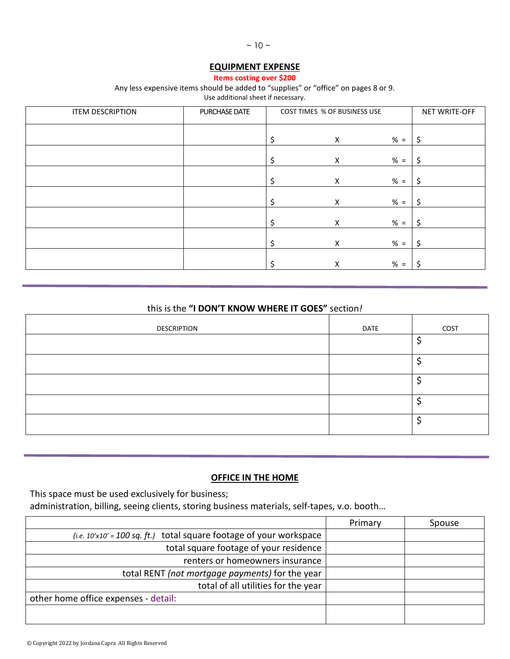#### **EQUIPMENT EXPENSE**

**Items costing over \$200**

#### Any less expensive items should be added to "supplies" or "office" on pages 8 or 9.

Use additional sheet if necessary.

| <b>ITEM DESCRIPTION</b> | PURCHASE DATE | COST TIMES % OF BUSINESS USE |                    | NET WRITE-OFF |    |
|-------------------------|---------------|------------------------------|--------------------|---------------|----|
|                         |               |                              | $\pmb{\mathsf{X}}$ | $% =$         | \$ |
|                         |               |                              |                    | $% =$         |    |
|                         |               | Ş                            | $\pmb{\mathsf{X}}$ |               | Ś  |
|                         |               | S                            | $\pmb{\times}$     | $% =$         | \$ |
|                         |               | Ş                            | $\pmb{\mathsf{X}}$ | $% =$         | \$ |
|                         |               |                              | $\pmb{\mathsf{X}}$ | $% =$         | S  |
|                         |               | S                            | $\pmb{\mathsf{X}}$ | $% =$         | Ŝ. |
|                         |               | Ś                            | $\pmb{\times}$     | $% =$         | S  |

#### this is the **"I DON'T KNOW WHERE IT GOES"** section*!*

| <b>DESCRIPTION</b> | DATE | COST |
|--------------------|------|------|
|                    |      |      |
|                    |      |      |
|                    |      |      |
|                    |      |      |
|                    |      |      |

#### **OFFICE IN THE HOME**

This space must be used exclusively for business;

administration, billing, seeing clients, storing business materials, self-tapes, v.o. booth…

|                                                                              | Primary | Spouse |
|------------------------------------------------------------------------------|---------|--------|
| (i.e. $10' \times 10' = 100$ sq. ft.) total square footage of your workspace |         |        |
| total square footage of your residence                                       |         |        |
| renters or homeowners insurance                                              |         |        |
| total RENT (not mortgage payments) for the year                              |         |        |
| total of all utilities for the year                                          |         |        |
| other home office expenses - detail:                                         |         |        |
|                                                                              |         |        |
|                                                                              |         |        |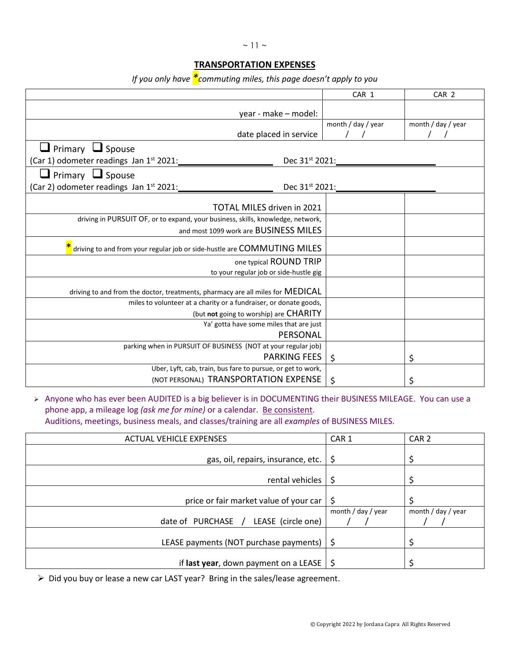#### $~\sim$  11  $~\sim$

#### **TRANSPORTATION EXPENSES**

*If you only have \*commuting miles, this page doesn't apply to you*

|                                                                                 | CAR 1               | CAR <sub>2</sub>   |
|---------------------------------------------------------------------------------|---------------------|--------------------|
| year - make - model:                                                            |                     |                    |
|                                                                                 | month / day / year  | month / day / year |
| date placed in service                                                          |                     |                    |
| $\Box$ Primary $\Box$ Spouse                                                    |                     |                    |
| (Car 1) odometer readings Jan 1st 2021:<br>Dec 31 <sup>st</sup> 2021:           |                     |                    |
| $\Box$ Primary $\Box$ Spouse                                                    |                     |                    |
| (Car 2) odometer readings Jan 1 <sup>st</sup> 2021:                             | Dec $31^{st}$ 2021: |                    |
| TOTAL MILES driven in 2021                                                      |                     |                    |
| driving in PURSUIT OF, or to expand, your business, skills, knowledge, network, |                     |                    |
| and most 1099 work are BUSINESS MILES                                           |                     |                    |
|                                                                                 |                     |                    |
| driving to and from your regular job or side-hustle are COMMUTING MILES         |                     |                    |
| one typical ROUND TRIP                                                          |                     |                    |
| to your regular job or side-hustle gig                                          |                     |                    |
| driving to and from the doctor, treatments, pharmacy are all miles for MEDICAL  |                     |                    |
| miles to volunteer at a charity or a fundraiser, or donate goods,               |                     |                    |
| (but not going to worship) are CHARITY                                          |                     |                    |
| Ya' gotta have some miles that are just                                         |                     |                    |
| PERSONAL                                                                        |                     |                    |
| parking when in PURSUIT OF BUSINESS (NOT at your regular job)                   |                     |                    |
| <b>PARKING FEES</b>                                                             | $\zeta$             | \$                 |
| Uber, Lyft, cab, train, bus fare to pursue, or get to work,                     |                     |                    |
| (NOT PERSONAL) TRANSPORTATION EXPENSE                                           | \$                  | \$                 |

> Anyone who has ever been AUDITED is a big believer is in DOCUMENTING their BUSINESS MILEAGE. You can use a phone app, a mileage log *(ask me for mine)* or a calendar. Be consistent.

Auditions, meetings, business meals, and classes/training are all *examples* of BUSINESS MILES.

| <b>ACTUAL VEHICLE EXPENSES</b>                       | CAR <sub>1</sub>   | CAR <sub>2</sub>   |
|------------------------------------------------------|--------------------|--------------------|
| gas, oil, repairs, insurance, etc. $\frac{1}{5}$     |                    |                    |
| rental vehicles                                      | -S                 |                    |
| price or fair market value of your car $\frac{1}{2}$ |                    |                    |
| date of PURCHASE<br>LEASE (circle one)<br>$\sqrt{ }$ | month / day / year | month / day / year |
| LEASE payments (NOT purchase payments) $\frac{1}{2}$ |                    |                    |
| if last year, down payment on a LEASE $\frac{1}{2}$  |                    |                    |

Did you buy or lease a new car LAST year? Bring in the sales/lease agreement.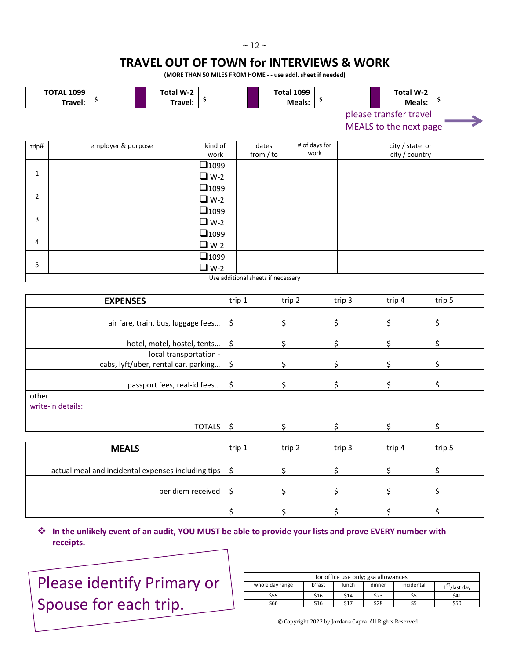#### $~12$  ~

## **TRAVEL OUT OF TOWN for INTERVIEWS & WORK**

**(MORE THAN 50 MILES FROM HOME - - use addl. sheet if needed)**

|       | <b>TOTAL 1099</b><br>Travel: | \$                 | Total W-2<br>Travel: | \$                        | <b>Total 1099</b>    | Meals: | \$                    | Total W-2<br>Ş<br>Meals:                         |  |
|-------|------------------------------|--------------------|----------------------|---------------------------|----------------------|--------|-----------------------|--------------------------------------------------|--|
|       |                              |                    |                      |                           |                      |        |                       | please transfer travel<br>MEALS to the next page |  |
| trip# |                              | employer & purpose |                      | kind of<br>work           | dates<br>from $/$ to |        | # of days for<br>work | city / state or<br>city / country                |  |
| 1     |                              |                    |                      | $\Box$ 1099<br>$\Box$ W-2 |                      |        |                       |                                                  |  |
| 2     |                              |                    |                      | $\Box$ 1099<br>$\Box$ W-2 |                      |        |                       |                                                  |  |
| 3     |                              |                    |                      | $\Box$ 1099<br>$\Box$ W-2 |                      |        |                       |                                                  |  |
| 4     |                              |                    |                      | $\Box$ 1099<br>$\Box$ W-2 |                      |        |                       |                                                  |  |

Use additional sheets if necessary

 $\Box$ 1099  $\n **W-2**\n$ 

| <b>EXPENSES</b>                      | trip 1  | trip 2 | trip 3 | trip 4 | trip 5 |
|--------------------------------------|---------|--------|--------|--------|--------|
|                                      |         |        |        |        |        |
| air fare, train, bus, luggage fees   | \$      |        |        |        |        |
|                                      |         |        |        |        |        |
| hotel, motel, hostel, tents          | \$      |        |        |        |        |
| local transportation -               |         |        |        |        |        |
| cabs, lyft/uber, rental car, parking | $\zeta$ |        |        |        |        |
|                                      |         |        |        |        |        |
| passport fees, real-id fees          | \$      |        |        |        |        |
| other                                |         |        |        |        |        |
| write-in details:                    |         |        |        |        |        |
|                                      |         |        |        |        |        |
| <b>TOTALS</b>                        |         |        |        |        |        |

| <b>MEALS</b>                                                     | trip 1 | trip 2 | trip 3 | trip 4 | trip 5 |
|------------------------------------------------------------------|--------|--------|--------|--------|--------|
| actual meal and incidental expenses including tips $\frac{1}{5}$ |        |        |        |        |        |
| per diem received                                                |        |        |        |        |        |
|                                                                  |        |        |        |        |        |

#### **In the unlikely event of an audit, YOU MUST be able to provide your lists and prove EVERY number with receipts.**

Please identify Primary or Spouse for each trip.

5

| for office use only; gsa allowances |        |       |        |            |                           |  |  |
|-------------------------------------|--------|-------|--------|------------|---------------------------|--|--|
| whole day range                     | b'fast | lunch | dinner | incidental | 1 <sup>st</sup> /last dav |  |  |
| \$55                                | \$16   | \$14  | \$23   | \$5        | \$41                      |  |  |
| \$66                                | \$16   | \$17  | \$28   |            | \$50                      |  |  |

© Copyright 2022 by Jordana Capra All Rights Reserved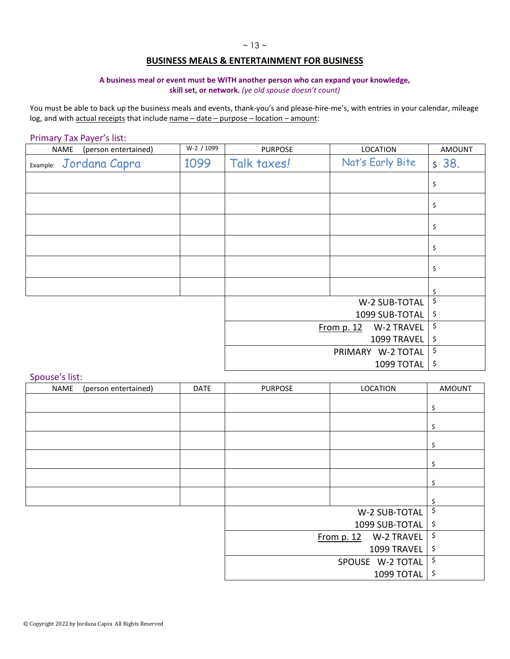#### **BUSINESS MEALS & ENTERTAINMENT FOR BUSINESS**

#### **A business meal or event must be WITH another person who can expand your knowledge,**

**skill set, or network.** *(ye old spouse doesn't count)*

You must be able to back up the business meals and events, thank-you's and please-hire-me's, with entries in your calendar, mileage log, and with actual receipts that include name - date - purpose - location - amount:

#### Primary Tax Payer's list:

| (person entertained)<br>NAME | W-2 / 1099 | <b>PURPOSE</b> | <b>LOCATION</b>            | <b>AMOUNT</b> |
|------------------------------|------------|----------------|----------------------------|---------------|
| Jordana Capra<br>Example:    | 1099       | Talk taxes!    | Nat's Early Bite           | \$38.         |
|                              |            |                |                            | \$            |
|                              |            |                |                            | \$            |
|                              |            |                |                            | \$            |
|                              |            |                |                            | \$            |
|                              |            |                |                            | \$            |
|                              |            |                |                            | \$            |
|                              |            |                | W-2 SUB-TOTAL              | \$            |
|                              |            |                | 1099 SUB-TOTAL             | \$            |
|                              |            |                | W-2 TRAVEL<br>From $p. 12$ | \$            |
|                              |            |                | 1099 TRAVEL                | \$            |
|                              |            |                | PRIMARY W-2 TOTAL          | \$            |
|                              |            |                | 1099 TOTAL                 | \$            |

#### Spouse's list:

| opouse sinser<br>NAME | (person entertained) | <b>DATE</b> | <b>PURPOSE</b> | LOCATION                   | <b>AMOUNT</b> |
|-----------------------|----------------------|-------------|----------------|----------------------------|---------------|
|                       |                      |             |                |                            | \$            |
|                       |                      |             |                |                            |               |
|                       |                      |             |                |                            | \$            |
|                       |                      |             |                |                            | \$            |
|                       |                      |             |                |                            | \$            |
|                       |                      |             |                |                            | \$            |
|                       |                      |             |                |                            | \$            |
|                       |                      |             |                | W-2 SUB-TOTAL              | \$            |
|                       |                      |             |                | 1099 SUB-TOTAL             | \$            |
|                       |                      |             |                | W-2 TRAVEL<br>From $p. 12$ | \$            |
|                       |                      |             |                | 1099 TRAVEL                | \$            |
|                       |                      |             |                | \$                         |               |
|                       |                      |             |                | 1099 TOTAL                 | \$            |